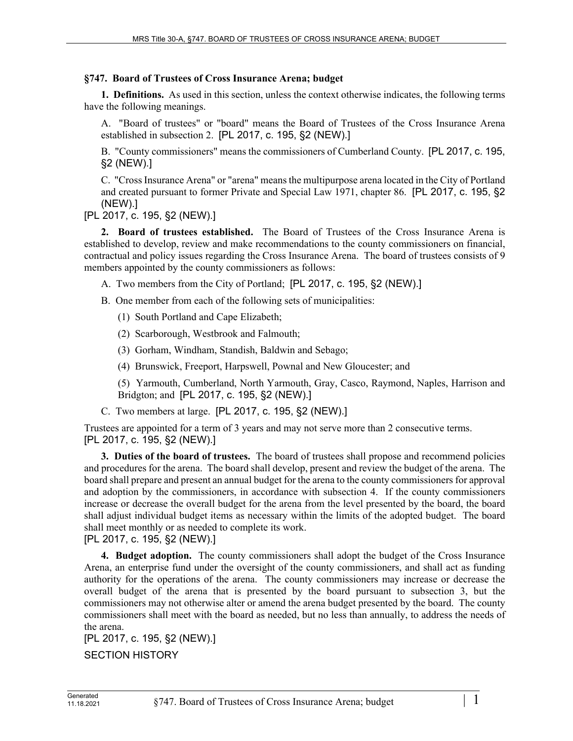## **§747. Board of Trustees of Cross Insurance Arena; budget**

**1. Definitions.** As used in this section, unless the context otherwise indicates, the following terms have the following meanings.

A. "Board of trustees" or "board" means the Board of Trustees of the Cross Insurance Arena established in subsection 2. [PL 2017, c. 195, §2 (NEW).]

B. "County commissioners" means the commissioners of Cumberland County. [PL 2017, c. 195, §2 (NEW).]

C. "Cross Insurance Arena" or "arena" means the multipurpose arena located in the City of Portland and created pursuant to former Private and Special Law 1971, chapter 86. [PL 2017, c. 195, §2 (NEW).]

[PL 2017, c. 195, §2 (NEW).]

**2. Board of trustees established.** The Board of Trustees of the Cross Insurance Arena is established to develop, review and make recommendations to the county commissioners on financial, contractual and policy issues regarding the Cross Insurance Arena. The board of trustees consists of 9 members appointed by the county commissioners as follows:

- A. Two members from the City of Portland; [PL 2017, c. 195, §2 (NEW).]
- B. One member from each of the following sets of municipalities:
	- (1) South Portland and Cape Elizabeth;
	- (2) Scarborough, Westbrook and Falmouth;
	- (3) Gorham, Windham, Standish, Baldwin and Sebago;
	- (4) Brunswick, Freeport, Harpswell, Pownal and New Gloucester; and

(5) Yarmouth, Cumberland, North Yarmouth, Gray, Casco, Raymond, Naples, Harrison and Bridgton; and [PL 2017, c. 195, §2 (NEW).]

C. Two members at large. [PL 2017, c. 195, §2 (NEW).]

Trustees are appointed for a term of 3 years and may not serve more than 2 consecutive terms. [PL 2017, c. 195, §2 (NEW).]

**3. Duties of the board of trustees.** The board of trustees shall propose and recommend policies and procedures for the arena. The board shall develop, present and review the budget of the arena. The board shall prepare and present an annual budget for the arena to the county commissioners for approval and adoption by the commissioners, in accordance with subsection 4. If the county commissioners increase or decrease the overall budget for the arena from the level presented by the board, the board shall adjust individual budget items as necessary within the limits of the adopted budget. The board shall meet monthly or as needed to complete its work.

[PL 2017, c. 195, §2 (NEW).]

**4. Budget adoption.** The county commissioners shall adopt the budget of the Cross Insurance Arena, an enterprise fund under the oversight of the county commissioners, and shall act as funding authority for the operations of the arena. The county commissioners may increase or decrease the overall budget of the arena that is presented by the board pursuant to subsection 3, but the commissioners may not otherwise alter or amend the arena budget presented by the board. The county commissioners shall meet with the board as needed, but no less than annually, to address the needs of the arena.

[PL 2017, c. 195, §2 (NEW).] SECTION HISTORY